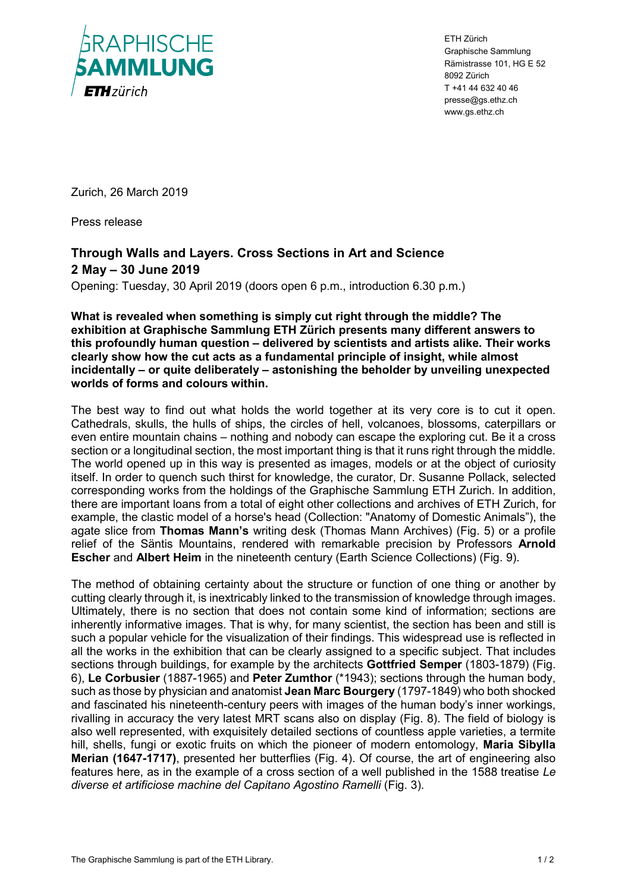

ETH Zürich Graphische Sammlung Rämistrasse 101, HG E 52 8092 Zürich T +41 44 632 40 46 presse@gs.ethz.ch www.gs.ethz.ch

Zurich, 26 March 2019

Press release

## **Through Walls and Layers. Cross Sections in Art and Science 2 May – 30 June 2019**

Opening: Tuesday, 30 April 2019 (doors open 6 p.m., introduction 6.30 p.m.)

**What is revealed when something is simply cut right through the middle? The exhibition at Graphische Sammlung ETH Zürich presents many different answers to this profoundly human question – delivered by scientists and artists alike. Their works clearly show how the cut acts as a fundamental principle of insight, while almost incidentally – or quite deliberately – astonishing the beholder by unveiling unexpected worlds of forms and colours within.** 

The best way to find out what holds the world together at its very core is to cut it open. Cathedrals, skulls, the hulls of ships, the circles of hell, volcanoes, blossoms, caterpillars or even entire mountain chains – nothing and nobody can escape the exploring cut. Be it a cross section or a longitudinal section, the most important thing is that it runs right through the middle. The world opened up in this way is presented as images, models or at the object of curiosity itself. In order to quench such thirst for knowledge, the curator, Dr. Susanne Pollack, selected corresponding works from the holdings of the Graphische Sammlung ETH Zurich. In addition, there are important loans from a total of eight other collections and archives of ETH Zurich, for example, the clastic model of a horse's head (Collection: "Anatomy of Domestic Animals"), the agate slice from **Thomas Mann's** writing desk (Thomas Mann Archives) (Fig. 5) or a profile relief of the Säntis Mountains, rendered with remarkable precision by Professors **Arnold Escher** and **Albert Heim** in the nineteenth century (Earth Science Collections) (Fig. 9).

The method of obtaining certainty about the structure or function of one thing or another by cutting clearly through it, is inextricably linked to the transmission of knowledge through images. Ultimately, there is no section that does not contain some kind of information; sections are inherently informative images. That is why, for many scientist, the section has been and still is such a popular vehicle for the visualization of their findings. This widespread use is reflected in all the works in the exhibition that can be clearly assigned to a specific subject. That includes sections through buildings, for example by the architects **Gottfried Semper** (1803-1879) (Fig. 6), **Le Corbusier** (1887-1965) and **Peter Zumthor** (\*1943); sections through the human body, such as those by physician and anatomist **Jean Marc Bourgery** (1797-1849) who both shocked and fascinated his nineteenth-century peers with images of the human body's inner workings, rivalling in accuracy the very latest MRT scans also on display (Fig. 8). The field of biology is also well represented, with exquisitely detailed sections of countless apple varieties, a termite hill, shells, fungi or exotic fruits on which the pioneer of modern entomology, **Maria Sibylla Merian (1647-1717)**, presented her butterflies (Fig. 4). Of course, the art of engineering also features here, as in the example of a cross section of a well published in the 1588 treatise *Le diverse et artificiose machine del Capitano Agostino Ramelli* (Fig. 3).